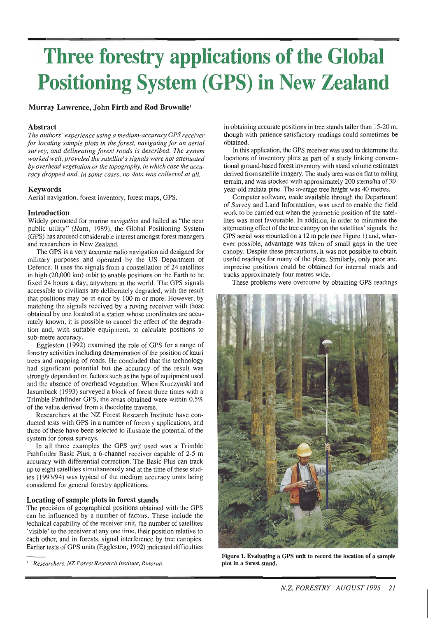# **Three forestry applications of the Global Positioning System (GPS) in New Zealand**

## **Murray Lawrence, John Firth and Rod Brownlie'**

## **Abstract**

*The authors' experience using a medium-accuracy GPS receiver for locating sample plots in the forest, navigating for an aerial survey, and delineating forest roads is described. The system worked well, provided the satellite's signals were not attenuated by overhead vegetation or the topography, in which case the accuracy dropped and, in some cases, no data was collected at all.* 

#### **Keywords**

Aerial navigation, forest inventory, forest maps, GPS.

#### **Introduction**

Widely promoted for marine navigation and hailed as "the next public utility" (Hurn, 1989), the Global Positioning System (GPS) has aroused considerable interest amongst forest managers and researchers in New Zealand.

The GPS is a very accurate radio navigation aid designed for military purposes and operated by the US Department of Defence. It uses the signals from a constellation of 24 satellites in high (20,000 km) orbit to enable positions on the Earth to be fixed 24 hours a day, anywhere in the world. The GPS signals accessible to civilians are deliberately degraded, with the result that positions may be in error by 100 m or more. However, by matching the signals received by a roving receiver with those obtained by one located at a station whose coordinates are accurately known, it is possible to cancel the effect of the degradation and, with suitable equipment, to calculate positions to sub-metre accuracy.

Eggleston (1992) examined the role of GPS for a range of forestry activities including determination of the position of kauri trees and mapping of roads. He concluded that the technology had significant potential but the accuracy of the result was strongly dependent on factors such as the type of equipment used and the absence of overhead vegetation. When Kruczynski and Jasumback (1993) surveyed a block of forest three times with a Trimble Pathfinder GPS, the areas obtained were within 0.5% of the value derived from a theodolite traverse.

Researchers at the NZ Forest Research Institute have conducted tests with GPS in a number of forestry applications, and three of these have been selected to illustrate the potential of the system for forest surveys.

In all three examples the GPS unit used was a Trimble Pathfinder Basic Plus, a 6-channel receiver capable of 2-5 m accuracy with differential correction. The Basic Plus can track up to eight satellites simultaneously and at the time of these studies (1993/94) was typical of the medium accuracy units being considered for general forestry applications.

#### **Locating of sample plots in forest stands**

The precision of geographical positions obtained with the GPS can be influenced by a number of factors. These include the technical capability of the receiver unit, the number of satellites 'visible' to the receiver at any one time, their position relative to each other, and in forests, signal interference by tree canopies. Earlier tests of GPS units (Eggleston, 1992) indicated difficulties in obtaining accurate positions in tree stands taller than 15-20 m, though with patience satisfactory readings could sometimes be obtained.

In this application, the GPS receiver was used to determine the locations of inventory plots as part of a study linking conventional ground-based forest inventory with stand volume estimates derived from satellite imagery. The study area was on flat to rolling terrain, and was stocked with approximately 200 stems/ha of 30year-old radiata pine. The average tree height was 40 metres.

Computer software, made available through the Department of Survey and Land Information, was used to enable the field work to be carried out when the geometric position of the satellites was most favourable. In addition, in order to minimise the attenuating effect of the tree canopy on the satellites' signals, the GPS aerial was mounted on a 12 m pole (see Figure 1) and, wherever possible, advantage was taken of small gaps in the tree canopy. Despite these precautions, it was not possible to obtain useful readings for many of the plots. Similarly, only poor and imprecise positions could be obtained for internal roads and tracks approximately four metres wide.

These problems were overcome by obtaining GPS readings



**Figure 1. Evaluating a GPS unit to record the location of a sample plot in a forest stand.** 

<sup>&#</sup>x27; *Researchers, NZ Forest Research Institute, Rotorua.*